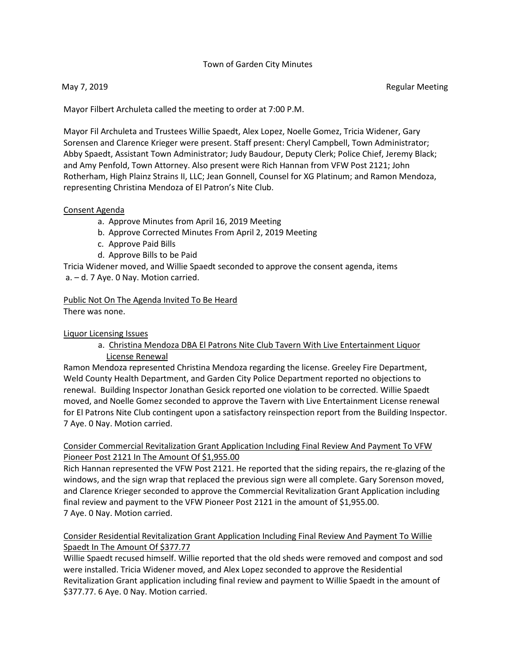## Town of Garden City Minutes

Mayor Filbert Archuleta called the meeting to order at 7:00 P.M.

Mayor Fil Archuleta and Trustees Willie Spaedt, Alex Lopez, Noelle Gomez, Tricia Widener, Gary Sorensen and Clarence Krieger were present. Staff present: Cheryl Campbell, Town Administrator; Abby Spaedt, Assistant Town Administrator; Judy Baudour, Deputy Clerk; Police Chief, Jeremy Black; and Amy Penfold, Town Attorney. Also present were Rich Hannan from VFW Post 2121; John Rotherham, High Plainz Strains II, LLC; Jean Gonnell, Counsel for XG Platinum; and Ramon Mendoza, representing Christina Mendoza of El Patron's Nite Club.

#### Consent Agenda

- a. Approve Minutes from April 16, 2019 Meeting
- b. Approve Corrected Minutes From April 2, 2019 Meeting
- c. Approve Paid Bills
- d. Approve Bills to be Paid

Tricia Widener moved, and Willie Spaedt seconded to approve the consent agenda, items a. – d. 7 Aye. 0 Nay. Motion carried.

Public Not On The Agenda Invited To Be Heard There was none.

### Liquor Licensing Issues

# a. Christina Mendoza DBA El Patrons Nite Club Tavern With Live Entertainment Liquor License Renewal

Ramon Mendoza represented Christina Mendoza regarding the license. Greeley Fire Department, Weld County Health Department, and Garden City Police Department reported no objections to renewal. Building Inspector Jonathan Gesick reported one violation to be corrected. Willie Spaedt moved, and Noelle Gomez seconded to approve the Tavern with Live Entertainment License renewal for El Patrons Nite Club contingent upon a satisfactory reinspection report from the Building Inspector. 7 Aye. 0 Nay. Motion carried.

## Consider Commercial Revitalization Grant Application Including Final Review And Payment To VFW Pioneer Post 2121 In The Amount Of \$1,955.00

Rich Hannan represented the VFW Post 2121. He reported that the siding repairs, the re-glazing of the windows, and the sign wrap that replaced the previous sign were all complete. Gary Sorenson moved, and Clarence Krieger seconded to approve the Commercial Revitalization Grant Application including final review and payment to the VFW Pioneer Post 2121 in the amount of \$1,955.00. 7 Aye. 0 Nay. Motion carried.

# Consider Residential Revitalization Grant Application Including Final Review And Payment To Willie Spaedt In The Amount Of \$377.77

Willie Spaedt recused himself. Willie reported that the old sheds were removed and compost and sod were installed. Tricia Widener moved, and Alex Lopez seconded to approve the Residential Revitalization Grant application including final review and payment to Willie Spaedt in the amount of \$377.77. 6 Aye. 0 Nay. Motion carried.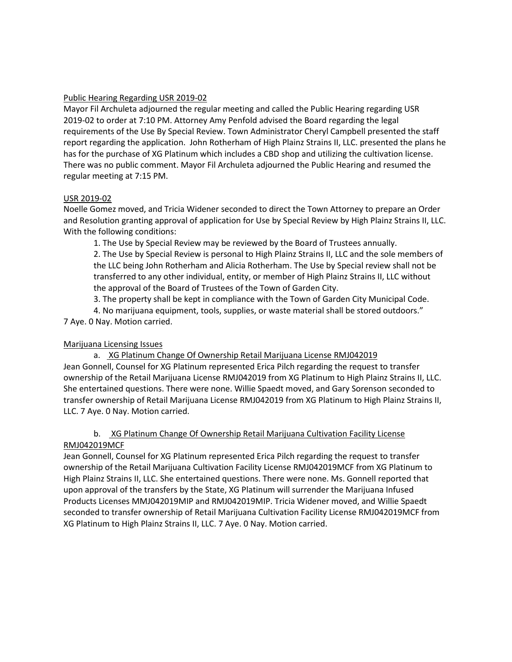## Public Hearing Regarding USR 2019-02

Mayor Fil Archuleta adjourned the regular meeting and called the Public Hearing regarding USR 2019-02 to order at 7:10 PM. Attorney Amy Penfold advised the Board regarding the legal requirements of the Use By Special Review. Town Administrator Cheryl Campbell presented the staff report regarding the application. John Rotherham of High Plainz Strains II, LLC. presented the plans he has for the purchase of XG Platinum which includes a CBD shop and utilizing the cultivation license. There was no public comment. Mayor Fil Archuleta adjourned the Public Hearing and resumed the regular meeting at 7:15 PM.

# USR 2019-02

Noelle Gomez moved, and Tricia Widener seconded to direct the Town Attorney to prepare an Order and Resolution granting approval of application for Use by Special Review by High Plainz Strains II, LLC. With the following conditions:

1. The Use by Special Review may be reviewed by the Board of Trustees annually.

2. The Use by Special Review is personal to High Plainz Strains II, LLC and the sole members of the LLC being John Rotherham and Alicia Rotherham. The Use by Special review shall not be transferred to any other individual, entity, or member of High Plainz Strains II, LLC without the approval of the Board of Trustees of the Town of Garden City.

3. The property shall be kept in compliance with the Town of Garden City Municipal Code.

4. No marijuana equipment, tools, supplies, or waste material shall be stored outdoors." 7 Aye. 0 Nay. Motion carried.

# Marijuana Licensing Issues

a. XG Platinum Change Of Ownership Retail Marijuana License RMJ042019 Jean Gonnell, Counsel for XG Platinum represented Erica Pilch regarding the request to transfer ownership of the Retail Marijuana License RMJ042019 from XG Platinum to High Plainz Strains II, LLC. She entertained questions. There were none. Willie Spaedt moved, and Gary Sorenson seconded to transfer ownership of Retail Marijuana License RMJ042019 from XG Platinum to High Plainz Strains II, LLC. 7 Aye. 0 Nay. Motion carried.

# b. XG Platinum Change Of Ownership Retail Marijuana Cultivation Facility License RMJ042019MCF

Jean Gonnell, Counsel for XG Platinum represented Erica Pilch regarding the request to transfer ownership of the Retail Marijuana Cultivation Facility License RMJ042019MCF from XG Platinum to High Plainz Strains II, LLC. She entertained questions. There were none. Ms. Gonnell reported that upon approval of the transfers by the State, XG Platinum will surrender the Marijuana Infused Products Licenses MMJ042019MIP and RMJ042019MIP. Tricia Widener moved, and Willie Spaedt seconded to transfer ownership of Retail Marijuana Cultivation Facility License RMJ042019MCF from XG Platinum to High Plainz Strains II, LLC. 7 Aye. 0 Nay. Motion carried.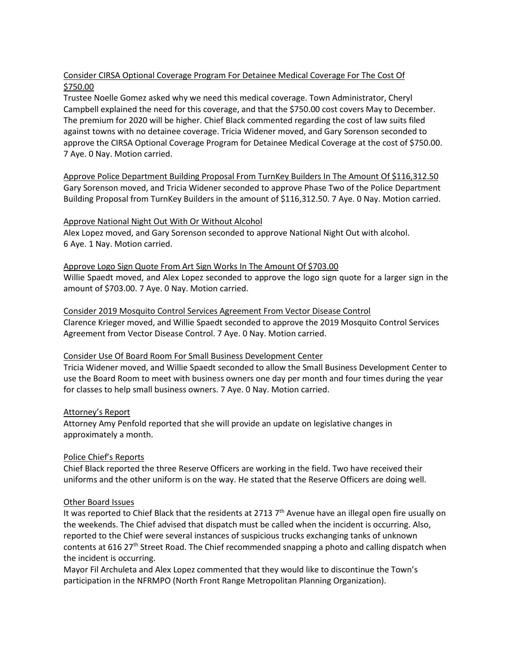# Consider CIRSA Optional Coverage Program For Detainee Medical Coverage For The Cost Of \$750.00

Trustee Noelle Gomez asked why we need this medical coverage. Town Administrator, Cheryl Campbell explained the need for this coverage, and that the \$750.00 cost covers May to December. The premium for 2020 will be higher. Chief Black commented regarding the cost of law suits filed against towns with no detainee coverage. Tricia Widener moved, and Gary Sorenson seconded to approve the CIRSA Optional Coverage Program for Detainee Medical Coverage at the cost of \$750.00. 7 Aye. 0 Nay. Motion carried.

Approve Police Department Building Proposal From TurnKey Builders In The Amount Of \$116,312.50 Gary Sorenson moved, and Tricia Widener seconded to approve Phase Two of the Police Department Building Proposal from TurnKey Builders in the amount of \$116,312.50. 7 Aye. 0 Nay. Motion carried.

## Approve National Night Out With Or Without Alcohol

Alex Lopez moved, and Gary Sorenson seconded to approve National Night Out with alcohol. 6 Aye. 1 Nay. Motion carried.

Approve Logo Sign Quote From Art Sign Works In The Amount Of \$703.00 Willie Spaedt moved, and Alex Lopez seconded to approve the logo sign quote for a larger sign in the amount of \$703.00. 7 Aye. 0 Nay. Motion carried.

Consider 2019 Mosquito Control Services Agreement From Vector Disease Control Clarence Krieger moved, and Willie Spaedt seconded to approve the 2019 Mosquito Control Services Agreement from Vector Disease Control. 7 Aye. 0 Nay. Motion carried.

## Consider Use Of Board Room For Small Business Development Center

Tricia Widener moved, and Willie Spaedt seconded to allow the Small Business Development Center to use the Board Room to meet with business owners one day per month and four times during the year for classes to help small business owners. 7 Aye. 0 Nay. Motion carried.

## Attorney's Report

Attorney Amy Penfold reported that she will provide an update on legislative changes in approximately a month.

## Police Chief's Reports

Chief Black reported the three Reserve Officers are working in the field. Two have received their uniforms and the other uniform is on the way. He stated that the Reserve Officers are doing well.

## Other Board Issues

It was reported to Chief Black that the residents at 2713  $7<sup>th</sup>$  Avenue have an illegal open fire usually on the weekends. The Chief advised that dispatch must be called when the incident is occurring. Also, reported to the Chief were several instances of suspicious trucks exchanging tanks of unknown contents at 616 27<sup>th</sup> Street Road. The Chief recommended snapping a photo and calling dispatch when the incident is occurring.

Mayor Fil Archuleta and Alex Lopez commented that they would like to discontinue the Town's participation in the NFRMPO (North Front Range Metropolitan Planning Organization).